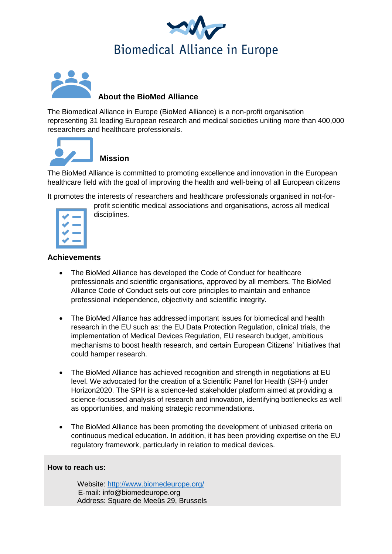



## **About the BioMed Alliance**

The Biomedical Alliance in Europe (BioMed Alliance) is a non-profit organisation representing 31 leading European research and medical societies uniting more than 400,000 researchers and healthcare professionals.



# **Mission**

The BioMed Alliance is committed to promoting excellence and innovation in the European healthcare field with the goal of improving the health and well-being of all European citizens

It promotes the interests of researchers and healthcare professionals organised in not-for-

## profit scientific medical associations and organisations, across all medical disciplines.

### **Achievements**

- The BioMed Alliance has developed the Code of Conduct for healthcare professionals and scientific organisations, approved by all members. The BioMed Alliance Code of Conduct sets out core principles to maintain and enhance professional independence, objectivity and scientific integrity.
- The BioMed Alliance has addressed important issues for biomedical and health research in the EU such as: the EU Data Protection Regulation, clinical trials, the implementation of Medical Devices Regulation, EU research budget, ambitious mechanisms to boost health research, and certain European Citizens' Initiatives that could hamper research.
- The BioMed Alliance has achieved recognition and strength in negotiations at EU level. We advocated for the creation of a Scientific Panel for Health (SPH) under Horizon2020. The SPH is a science-led stakeholder platform aimed at providing a science-focussed analysis of research and innovation, identifying bottlenecks as well as opportunities, and making strategic recommendations.
- The BioMed Alliance has been promoting the development of unbiased criteria on continuous medical education. In addition, it has been providing expertise on the EU regulatory framework, particularly in relation to medical devices.

#### **How to reach us:**

Website:<http://www.biomedeurope.org/> E-mail: info@biomedeurope.org Address: Square de Meeûs 29, Brussels